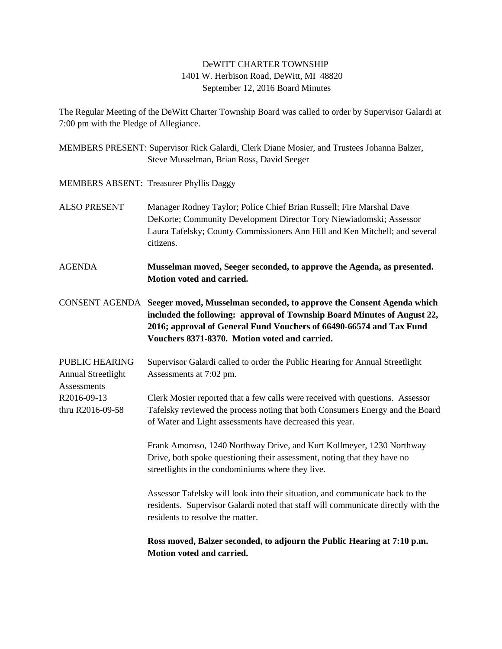## DeWITT CHARTER TOWNSHIP 1401 W. Herbison Road, DeWitt, MI 48820 September 12, 2016 Board Minutes

The Regular Meeting of the DeWitt Charter Township Board was called to order by Supervisor Galardi at 7:00 pm with the Pledge of Allegiance.

MEMBERS PRESENT: Supervisor Rick Galardi, Clerk Diane Mosier, and Trustees Johanna Balzer, Steve Musselman, Brian Ross, David Seeger

MEMBERS ABSENT: Treasurer Phyllis Daggy

- ALSO PRESENT Manager Rodney Taylor; Police Chief Brian Russell; Fire Marshal Dave DeKorte; Community Development Director Tory Niewiadomski; Assessor Laura Tafelsky; County Commissioners Ann Hill and Ken Mitchell; and several citizens.
- AGENDA **Musselman moved, Seeger seconded, to approve the Agenda, as presented. Motion voted and carried.**

CONSENT AGENDA **Seeger moved, Musselman seconded, to approve the Consent Agenda which included the following: approval of Township Board Minutes of August 22, 2016; approval of General Fund Vouchers of 66490-66574 and Tax Fund Vouchers 8371-8370. Motion voted and carried.**

PUBLIC HEARING Supervisor Galardi called to order the Public Hearing for Annual Streetlight Annual Streetlight Assessments at 7:02 pm. **Assessments** 

R2016-09-13 Clerk Mosier reported that a few calls were received with questions. Assessor thru R2016-09-58 Tafelsky reviewed the process noting that both Consumers Energy and the Board of Water and Light assessments have decreased this year.

> Frank Amoroso, 1240 Northway Drive, and Kurt Kollmeyer, 1230 Northway Drive, both spoke questioning their assessment, noting that they have no streetlights in the condominiums where they live.

Assessor Tafelsky will look into their situation, and communicate back to the residents. Supervisor Galardi noted that staff will communicate directly with the residents to resolve the matter.

**Ross moved, Balzer seconded, to adjourn the Public Hearing at 7:10 p.m. Motion voted and carried.**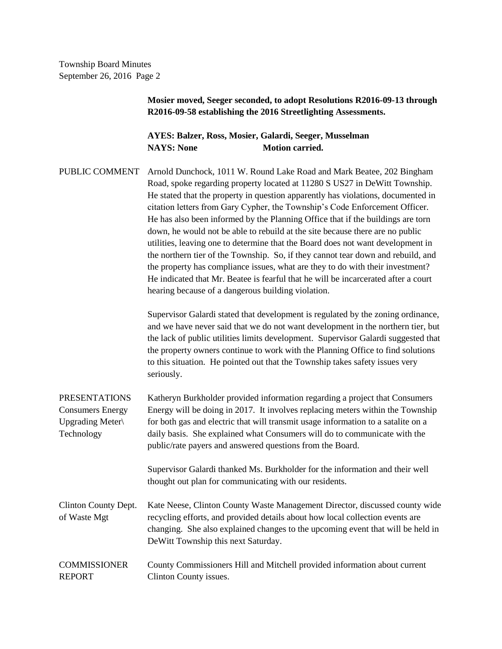> **Mosier moved, Seeger seconded, to adopt Resolutions R2016-09-13 through R2016-09-58 establishing the 2016 Streetlighting Assessments.**

**AYES: Balzer, Ross, Mosier, Galardi, Seeger, Musselman NAYS:** None **Motion carried.** 

PUBLIC COMMENT Arnold Dunchock, 1011 W. Round Lake Road and Mark Beatee, 202 Bingham Road, spoke regarding property located at 11280 S US27 in DeWitt Township. He stated that the property in question apparently has violations, documented in citation letters from Gary Cypher, the Township's Code Enforcement Officer. He has also been informed by the Planning Office that if the buildings are torn down, he would not be able to rebuild at the site because there are no public utilities, leaving one to determine that the Board does not want development in the northern tier of the Township. So, if they cannot tear down and rebuild, and the property has compliance issues, what are they to do with their investment? He indicated that Mr. Beatee is fearful that he will be incarcerated after a court hearing because of a dangerous building violation.

> Supervisor Galardi stated that development is regulated by the zoning ordinance, and we have never said that we do not want development in the northern tier, but the lack of public utilities limits development. Supervisor Galardi suggested that the property owners continue to work with the Planning Office to find solutions to this situation. He pointed out that the Township takes safety issues very seriously.

PRESENTATIONS Katheryn Burkholder provided information regarding a project that Consumers Consumers Energy Energy will be doing in 2017. It involves replacing meters within the Township Upgrading Meter for both gas and electric that will transmit usage information to a satalite on a Technology daily basis. She explained what Consumers will do to communicate with the public/rate payers and answered questions from the Board. Supervisor Galardi thanked Ms. Burkholder for the information and their well thought out plan for communicating with our residents. Clinton County Dept. Kate Neese, Clinton County Waste Management Director, discussed county wide

of Waste Mgt recycling efforts, and provided details about how local collection events are changing. She also explained changes to the upcoming event that will be held in DeWitt Township this next Saturday.

## COMMISSIONER County Commissioners Hill and Mitchell provided information about current REPORT Clinton County issues.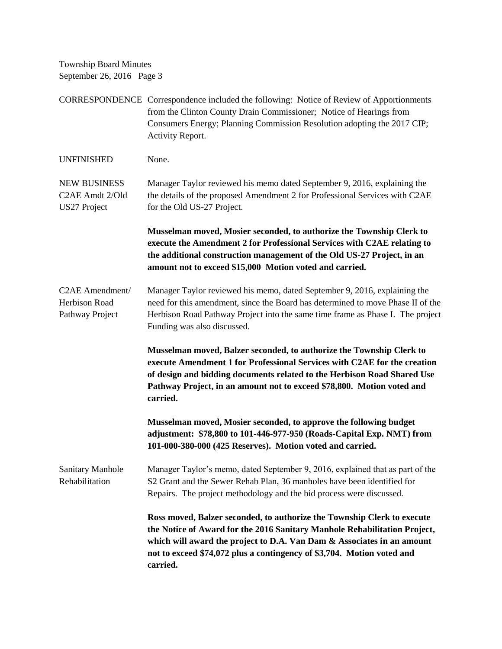CORRESPONDENCE Correspondence included the following: Notice of Review of Apportionments from the Clinton County Drain Commissioner; Notice of Hearings from Consumers Energy; Planning Commission Resolution adopting the 2017 CIP; Activity Report. UNFINISHED None. NEW BUSINESS Manager Taylor reviewed his memo dated September 9, 2016, explaining the C2AE Amdt 2/Old the details of the proposed Amendment 2 for Professional Services with C2AE US27 Project for the Old US-27 Project. **Musselman moved, Mosier seconded, to authorize the Township Clerk to execute the Amendment 2 for Professional Services with C2AE relating to the additional construction management of the Old US-27 Project, in an amount not to exceed \$15,000 Motion voted and carried.** C2AE Amendment/ Manager Taylor reviewed his memo, dated September 9, 2016, explaining the Herbison Road need for this amendment, since the Board has determined to move Phase II of the Pathway Project Herbison Road Pathway Project into the same time frame as Phase I. The project Funding was also discussed. **Musselman moved, Balzer seconded, to authorize the Township Clerk to execute Amendment 1 for Professional Services with C2AE for the creation of design and bidding documents related to the Herbison Road Shared Use Pathway Project, in an amount not to exceed \$78,800. Motion voted and carried. Musselman moved, Mosier seconded, to approve the following budget adjustment: \$78,800 to 101-446-977-950 (Roads-Capital Exp. NMT) from 101-000-380-000 (425 Reserves). Motion voted and carried.** Sanitary Manhole Manager Taylor's memo, dated September 9, 2016, explained that as part of the Rehabilitation S2 Grant and the Sewer Rehab Plan, 36 manholes have been identified for Repairs. The project methodology and the bid process were discussed. **Ross moved, Balzer seconded, to authorize the Township Clerk to execute the Notice of Award for the 2016 Sanitary Manhole Rehabilitation Project, which will award the project to D.A. Van Dam & Associates in an amount not to exceed \$74,072 plus a contingency of \$3,704. Motion voted and carried.**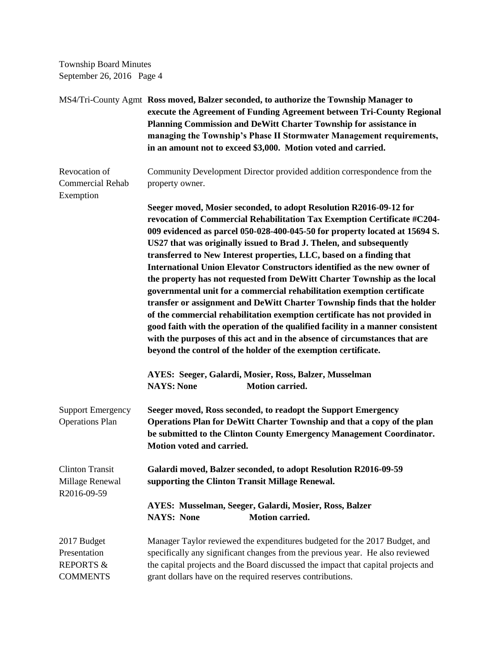MS4/Tri-County Agmt **Ross moved, Balzer seconded, to authorize the Township Manager to execute the Agreement of Funding Agreement between Tri-County Regional Planning Commission and DeWitt Charter Township for assistance in managing the Township's Phase II Stormwater Management requirements, in an amount not to exceed \$3,000. Motion voted and carried.** Revocation of Community Development Director provided addition correspondence from the Commercial Rehab property owner. Exemption **Seeger moved, Mosier seconded, to adopt Resolution R2016-09-12 for revocation of Commercial Rehabilitation Tax Exemption Certificate #C204- 009 evidenced as parcel 050-028-400-045-50 for property located at 15694 S. US27 that was originally issued to Brad J. Thelen, and subsequently transferred to New Interest properties, LLC, based on a finding that International Union Elevator Constructors identified as the new owner of the property has not requested from DeWitt Charter Township as the local governmental unit for a commercial rehabilitation exemption certificate transfer or assignment and DeWitt Charter Township finds that the holder of the commercial rehabilitation exemption certificate has not provided in good faith with the operation of the qualified facility in a manner consistent with the purposes of this act and in the absence of circumstances that are beyond the control of the holder of the exemption certificate. AYES: Seeger, Galardi, Mosier, Ross, Balzer, Musselman NAYS: None Motion carried.** Support Emergency **Seeger moved, Ross seconded, to readopt the Support Emergency**  Operations Plan **Operations Plan for DeWitt Charter Township and that a copy of the plan be submitted to the Clinton County Emergency Management Coordinator. Motion voted and carried.** Clinton Transit **Galardi moved, Balzer seconded, to adopt Resolution R2016-09-59**  Millage Renewal **supporting the Clinton Transit Millage Renewal.** R2016-09-59 **AYES: Musselman, Seeger, Galardi, Mosier, Ross, Balzer NAYS: None Motion carried.** 2017 Budget Manager Taylor reviewed the expenditures budgeted for the 2017 Budget, and Presentation specifically any significant changes from the previous year. He also reviewed REPORTS & the capital projects and the Board discussed the impact that capital projects and COMMENTS grant dollars have on the required reserves contributions.